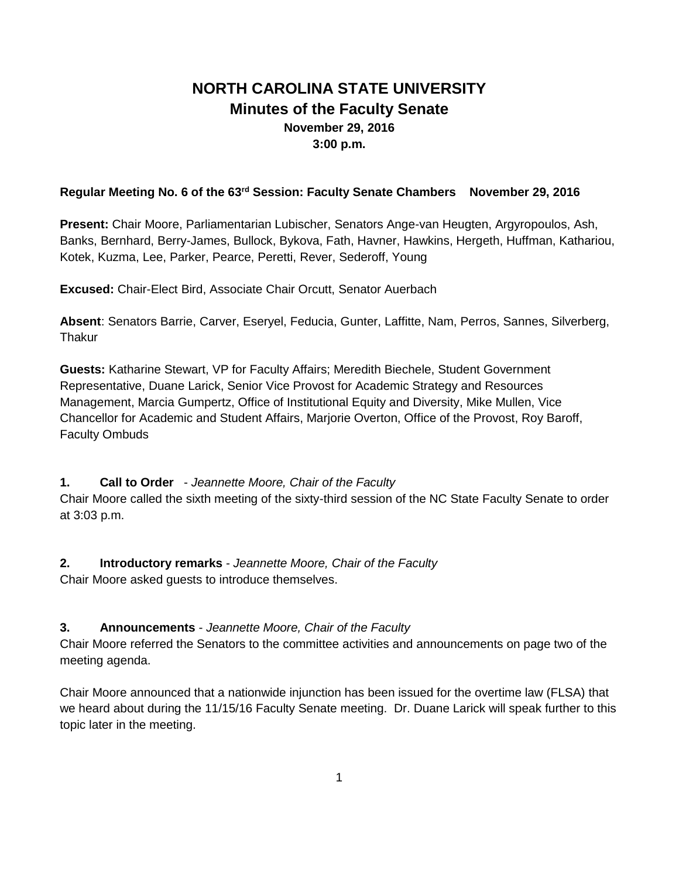# **NORTH CAROLINA STATE UNIVERSITY Minutes of the Faculty Senate November 29, 2016 3:00 p.m.**

### **Regular Meeting No. 6 of the 63rd Session: Faculty Senate Chambers November 29, 2016**

**Present:** Chair Moore, Parliamentarian Lubischer, Senators Ange-van Heugten, Argyropoulos, Ash, Banks, Bernhard, Berry-James, Bullock, Bykova, Fath, Havner, Hawkins, Hergeth, Huffman, Kathariou, Kotek, Kuzma, Lee, Parker, Pearce, Peretti, Rever, Sederoff, Young

**Excused:** Chair-Elect Bird, Associate Chair Orcutt, Senator Auerbach

**Absent**: Senators Barrie, Carver, Eseryel, Feducia, Gunter, Laffitte, Nam, Perros, Sannes, Silverberg, **Thakur** 

**Guests:** Katharine Stewart, VP for Faculty Affairs; Meredith Biechele, Student Government Representative, Duane Larick, Senior Vice Provost for Academic Strategy and Resources Management, Marcia Gumpertz, Office of Institutional Equity and Diversity, Mike Mullen, Vice Chancellor for Academic and Student Affairs, Marjorie Overton, Office of the Provost, Roy Baroff, Faculty Ombuds

**1. Call to Order** - *Jeannette Moore, Chair of the Faculty*

Chair Moore called the sixth meeting of the sixty-third session of the NC State Faculty Senate to order at 3:03 p.m.

**2. Introductory remarks** - *Jeannette Moore, Chair of the Faculty*

Chair Moore asked guests to introduce themselves.

### **3. Announcements** - *Jeannette Moore, Chair of the Faculty*

Chair Moore referred the Senators to the committee activities and announcements on page two of the meeting agenda.

Chair Moore announced that a nationwide injunction has been issued for the overtime law (FLSA) that we heard about during the 11/15/16 Faculty Senate meeting. Dr. Duane Larick will speak further to this topic later in the meeting.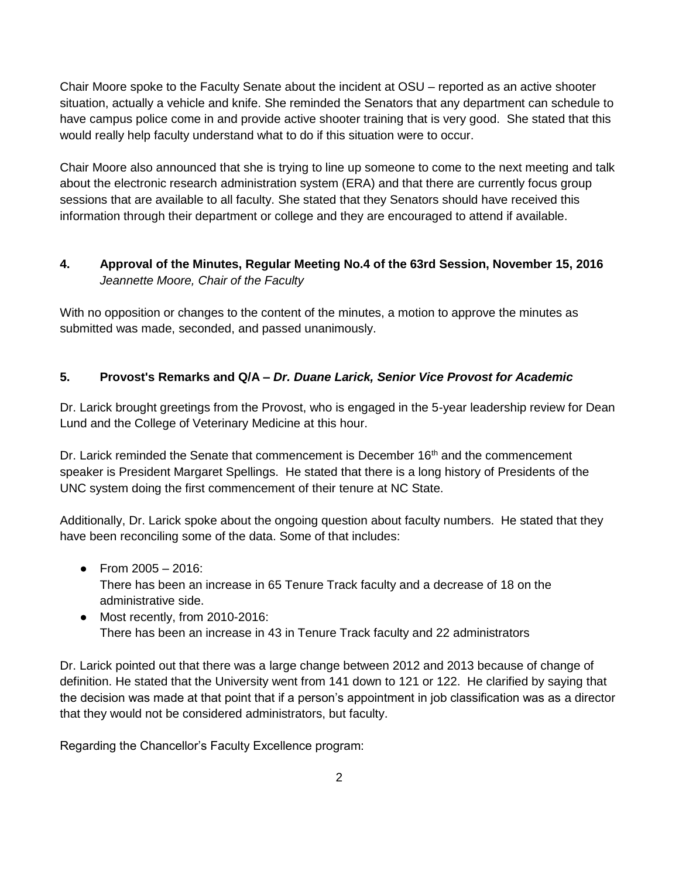Chair Moore spoke to the Faculty Senate about the incident at OSU – reported as an active shooter situation, actually a vehicle and knife. She reminded the Senators that any department can schedule to have campus police come in and provide active shooter training that is very good. She stated that this would really help faculty understand what to do if this situation were to occur.

Chair Moore also announced that she is trying to line up someone to come to the next meeting and talk about the electronic research administration system (ERA) and that there are currently focus group sessions that are available to all faculty. She stated that they Senators should have received this information through their department or college and they are encouraged to attend if available.

# **4. Approval of the Minutes, Regular Meeting No.4 of the 63rd Session, November 15, 2016** *Jeannette Moore, Chair of the Faculty*

With no opposition or changes to the content of the minutes, a motion to approve the minutes as submitted was made, seconded, and passed unanimously.

# **5. Provost's Remarks and Q/A –** *Dr. Duane Larick, Senior Vice Provost for Academic*

Dr. Larick brought greetings from the Provost, who is engaged in the 5-year leadership review for Dean Lund and the College of Veterinary Medicine at this hour.

Dr. Larick reminded the Senate that commencement is December 16<sup>th</sup> and the commencement speaker is President Margaret Spellings. He stated that there is a long history of Presidents of the UNC system doing the first commencement of their tenure at NC State.

Additionally, Dr. Larick spoke about the ongoing question about faculty numbers. He stated that they have been reconciling some of the data. Some of that includes:

- From  $2005 2016$ : There has been an increase in 65 Tenure Track faculty and a decrease of 18 on the administrative side.
- Most recently, from 2010-2016: There has been an increase in 43 in Tenure Track faculty and 22 administrators

Dr. Larick pointed out that there was a large change between 2012 and 2013 because of change of definition. He stated that the University went from 141 down to 121 or 122. He clarified by saying that the decision was made at that point that if a person's appointment in job classification was as a director that they would not be considered administrators, but faculty.

Regarding the Chancellor's Faculty Excellence program: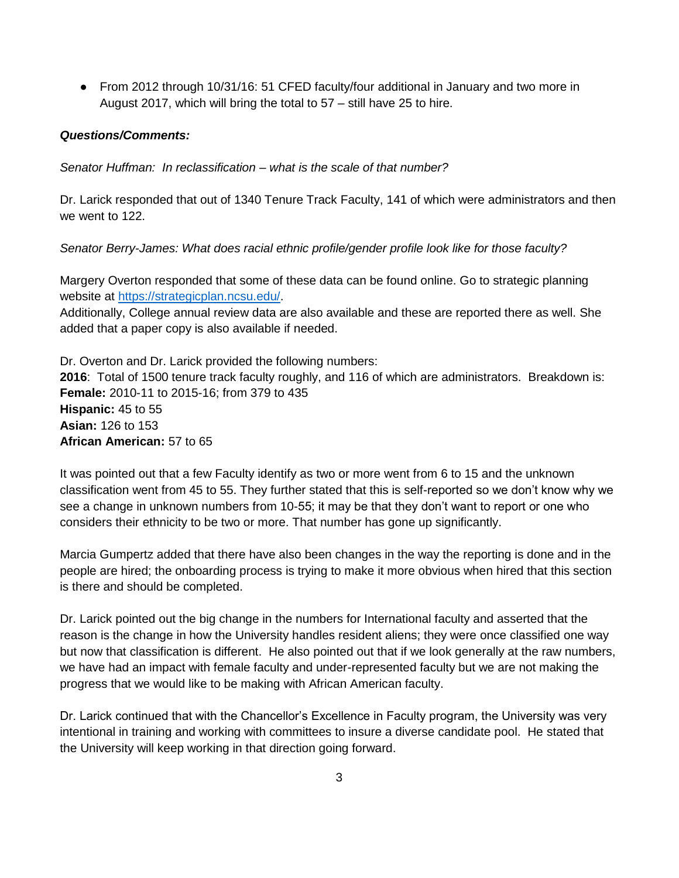● From 2012 through 10/31/16: 51 CFED faculty/four additional in January and two more in August 2017, which will bring the total to 57 – still have 25 to hire.

#### *Questions/Comments:*

*Senator Huffman: In reclassification – what is the scale of that number?* 

Dr. Larick responded that out of 1340 Tenure Track Faculty, 141 of which were administrators and then we went to 122.

*Senator Berry-James: What does racial ethnic profile/gender profile look like for those faculty?*

Margery Overton responded that some of these data can be found online. Go to strategic planning website at [https://strategicplan.ncsu.edu/.](https://strategicplan.ncsu.edu/)

Additionally, College annual review data are also available and these are reported there as well. She added that a paper copy is also available if needed.

Dr. Overton and Dr. Larick provided the following numbers: **2016**: Total of 1500 tenure track faculty roughly, and 116 of which are administrators. Breakdown is: **Female:** 2010-11 to 2015-16; from 379 to 435 **Hispanic:** 45 to 55 **Asian:** 126 to 153 **African American:** 57 to 65

It was pointed out that a few Faculty identify as two or more went from 6 to 15 and the unknown classification went from 45 to 55. They further stated that this is self-reported so we don't know why we see a change in unknown numbers from 10-55; it may be that they don't want to report or one who considers their ethnicity to be two or more. That number has gone up significantly.

Marcia Gumpertz added that there have also been changes in the way the reporting is done and in the people are hired; the onboarding process is trying to make it more obvious when hired that this section is there and should be completed.

Dr. Larick pointed out the big change in the numbers for International faculty and asserted that the reason is the change in how the University handles resident aliens; they were once classified one way but now that classification is different. He also pointed out that if we look generally at the raw numbers, we have had an impact with female faculty and under-represented faculty but we are not making the progress that we would like to be making with African American faculty.

Dr. Larick continued that with the Chancellor's Excellence in Faculty program, the University was very intentional in training and working with committees to insure a diverse candidate pool. He stated that the University will keep working in that direction going forward.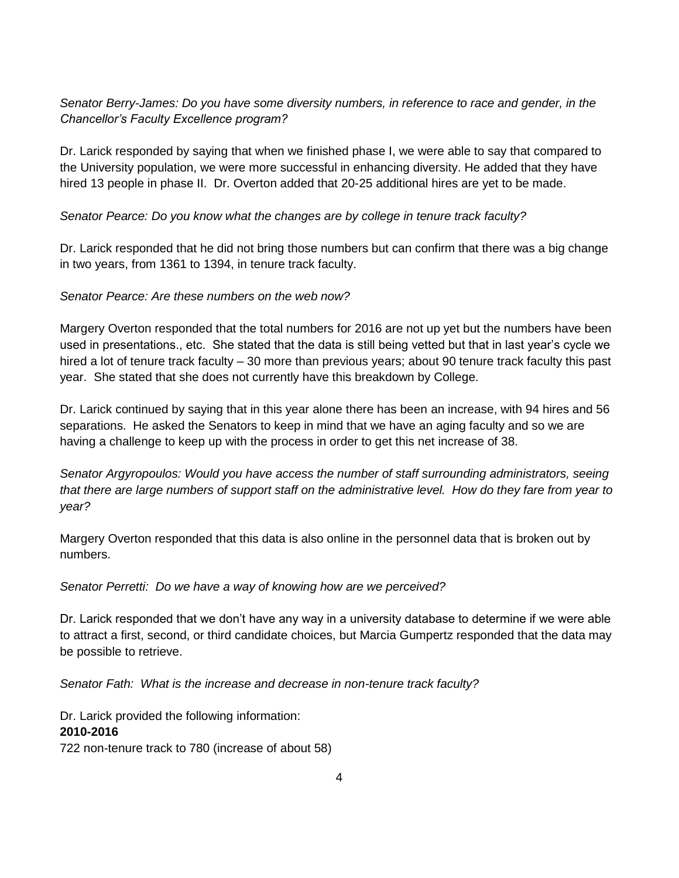# *Senator Berry-James: Do you have some diversity numbers, in reference to race and gender, in the Chancellor's Faculty Excellence program?*

Dr. Larick responded by saying that when we finished phase I, we were able to say that compared to the University population, we were more successful in enhancing diversity. He added that they have hired 13 people in phase II. Dr. Overton added that 20-25 additional hires are yet to be made.

### *Senator Pearce: Do you know what the changes are by college in tenure track faculty?*

Dr. Larick responded that he did not bring those numbers but can confirm that there was a big change in two years, from 1361 to 1394, in tenure track faculty.

#### *Senator Pearce: Are these numbers on the web now?*

Margery Overton responded that the total numbers for 2016 are not up yet but the numbers have been used in presentations., etc. She stated that the data is still being vetted but that in last year's cycle we hired a lot of tenure track faculty – 30 more than previous years; about 90 tenure track faculty this past year. She stated that she does not currently have this breakdown by College.

Dr. Larick continued by saying that in this year alone there has been an increase, with 94 hires and 56 separations. He asked the Senators to keep in mind that we have an aging faculty and so we are having a challenge to keep up with the process in order to get this net increase of 38.

*Senator Argyropoulos: Would you have access the number of staff surrounding administrators, seeing that there are large numbers of support staff on the administrative level. How do they fare from year to year?*

Margery Overton responded that this data is also online in the personnel data that is broken out by numbers.

#### *Senator Perretti: Do we have a way of knowing how are we perceived?*

Dr. Larick responded that we don't have any way in a university database to determine if we were able to attract a first, second, or third candidate choices, but Marcia Gumpertz responded that the data may be possible to retrieve.

*Senator Fath: What is the increase and decrease in non-tenure track faculty?*

Dr. Larick provided the following information: **2010-2016** 722 non-tenure track to 780 (increase of about 58)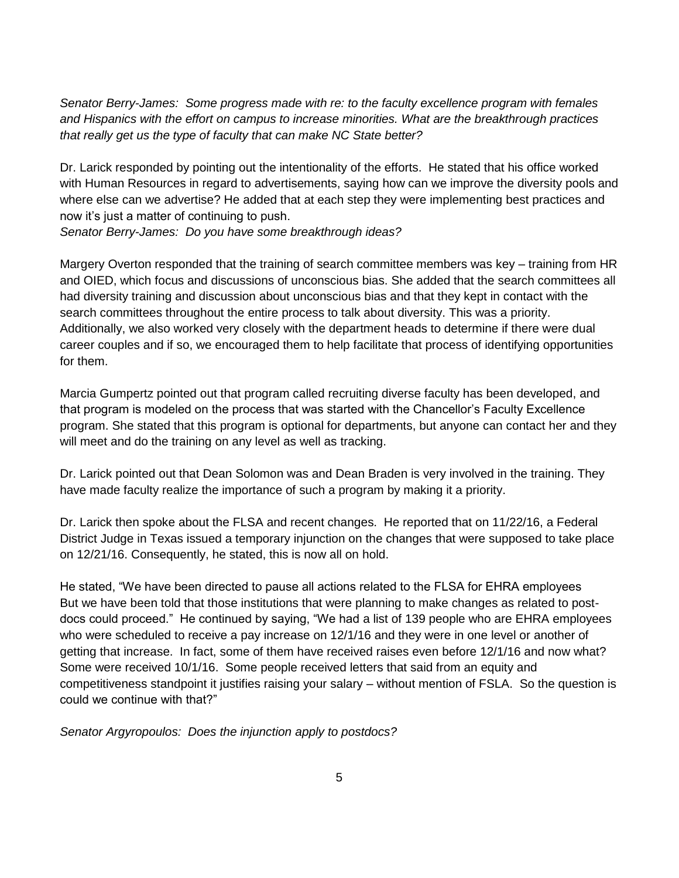*Senator Berry-James: Some progress made with re: to the faculty excellence program with females and Hispanics with the effort on campus to increase minorities. What are the breakthrough practices that really get us the type of faculty that can make NC State better?* 

Dr. Larick responded by pointing out the intentionality of the efforts. He stated that his office worked with Human Resources in regard to advertisements, saying how can we improve the diversity pools and where else can we advertise? He added that at each step they were implementing best practices and now it's just a matter of continuing to push.

*Senator Berry-James: Do you have some breakthrough ideas?*

Margery Overton responded that the training of search committee members was key – training from HR and OIED, which focus and discussions of unconscious bias. She added that the search committees all had diversity training and discussion about unconscious bias and that they kept in contact with the search committees throughout the entire process to talk about diversity. This was a priority. Additionally, we also worked very closely with the department heads to determine if there were dual career couples and if so, we encouraged them to help facilitate that process of identifying opportunities for them.

Marcia Gumpertz pointed out that program called recruiting diverse faculty has been developed, and that program is modeled on the process that was started with the Chancellor's Faculty Excellence program. She stated that this program is optional for departments, but anyone can contact her and they will meet and do the training on any level as well as tracking.

Dr. Larick pointed out that Dean Solomon was and Dean Braden is very involved in the training. They have made faculty realize the importance of such a program by making it a priority.

Dr. Larick then spoke about the FLSA and recent changes. He reported that on 11/22/16, a Federal District Judge in Texas issued a temporary injunction on the changes that were supposed to take place on 12/21/16. Consequently, he stated, this is now all on hold.

He stated, "We have been directed to pause all actions related to the FLSA for EHRA employees But we have been told that those institutions that were planning to make changes as related to postdocs could proceed." He continued by saying, "We had a list of 139 people who are EHRA employees who were scheduled to receive a pay increase on 12/1/16 and they were in one level or another of getting that increase. In fact, some of them have received raises even before 12/1/16 and now what? Some were received 10/1/16. Some people received letters that said from an equity and competitiveness standpoint it justifies raising your salary – without mention of FSLA. So the question is could we continue with that?"

*Senator Argyropoulos: Does the injunction apply to postdocs?*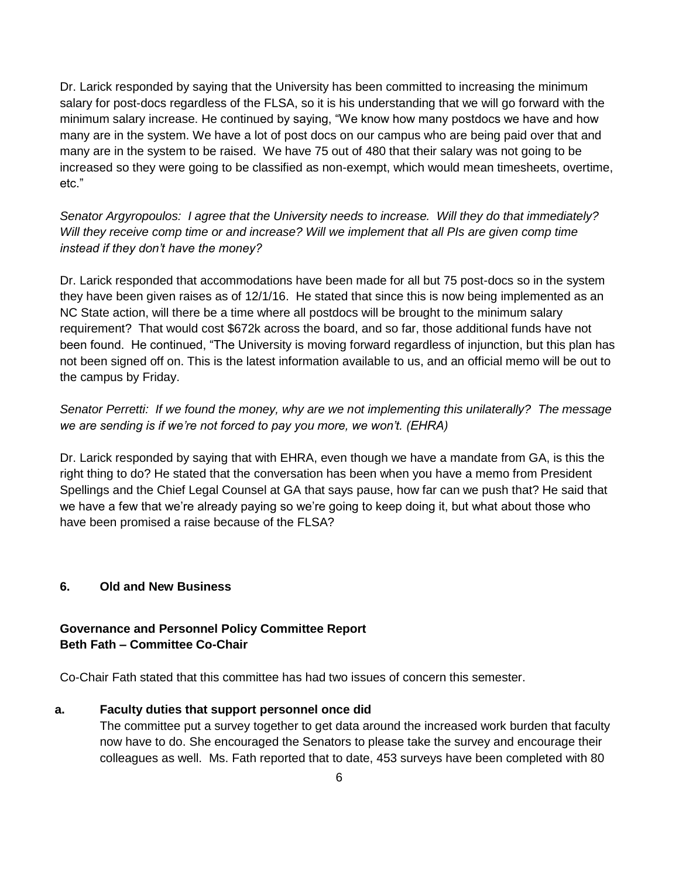Dr. Larick responded by saying that the University has been committed to increasing the minimum salary for post-docs regardless of the FLSA, so it is his understanding that we will go forward with the minimum salary increase. He continued by saying, "We know how many postdocs we have and how many are in the system. We have a lot of post docs on our campus who are being paid over that and many are in the system to be raised. We have 75 out of 480 that their salary was not going to be increased so they were going to be classified as non-exempt, which would mean timesheets, overtime, etc."

*Senator Argyropoulos: I agree that the University needs to increase. Will they do that immediately? Will they receive comp time or and increase? Will we implement that all PIs are given comp time instead if they don't have the money?*

Dr. Larick responded that accommodations have been made for all but 75 post-docs so in the system they have been given raises as of 12/1/16. He stated that since this is now being implemented as an NC State action, will there be a time where all postdocs will be brought to the minimum salary requirement? That would cost \$672k across the board, and so far, those additional funds have not been found. He continued, "The University is moving forward regardless of injunction, but this plan has not been signed off on. This is the latest information available to us, and an official memo will be out to the campus by Friday.

# *Senator Perretti: If we found the money, why are we not implementing this unilaterally? The message we are sending is if we're not forced to pay you more, we won't. (EHRA)*

Dr. Larick responded by saying that with EHRA, even though we have a mandate from GA, is this the right thing to do? He stated that the conversation has been when you have a memo from President Spellings and the Chief Legal Counsel at GA that says pause, how far can we push that? He said that we have a few that we're already paying so we're going to keep doing it, but what about those who have been promised a raise because of the FLSA?

### **6. Old and New Business**

# **Governance and Personnel Policy Committee Report Beth Fath – Committee Co-Chair**

Co-Chair Fath stated that this committee has had two issues of concern this semester.

#### **a. Faculty duties that support personnel once did**

The committee put a survey together to get data around the increased work burden that faculty now have to do. She encouraged the Senators to please take the survey and encourage their colleagues as well. Ms. Fath reported that to date, 453 surveys have been completed with 80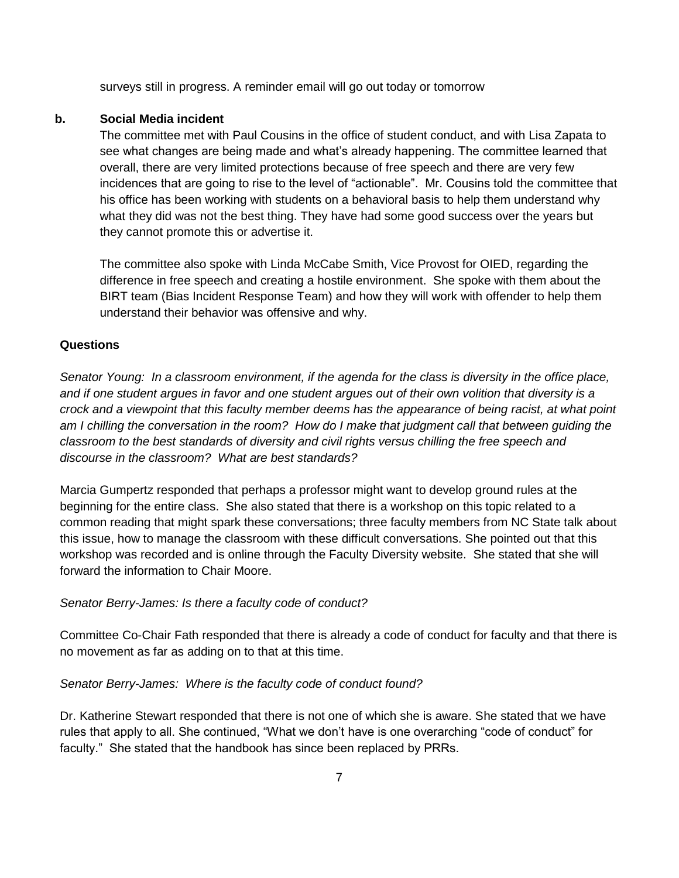surveys still in progress. A reminder email will go out today or tomorrow

#### **b. Social Media incident**

The committee met with Paul Cousins in the office of student conduct, and with Lisa Zapata to see what changes are being made and what's already happening. The committee learned that overall, there are very limited protections because of free speech and there are very few incidences that are going to rise to the level of "actionable". Mr. Cousins told the committee that his office has been working with students on a behavioral basis to help them understand why what they did was not the best thing. They have had some good success over the years but they cannot promote this or advertise it.

The committee also spoke with Linda McCabe Smith, Vice Provost for OIED, regarding the difference in free speech and creating a hostile environment. She spoke with them about the BIRT team (Bias Incident Response Team) and how they will work with offender to help them understand their behavior was offensive and why.

#### **Questions**

*Senator Young: In a classroom environment, if the agenda for the class is diversity in the office place, and if one student argues in favor and one student argues out of their own volition that diversity is a crock and a viewpoint that this faculty member deems has the appearance of being racist, at what point am I chilling the conversation in the room? How do I make that judgment call that between guiding the classroom to the best standards of diversity and civil rights versus chilling the free speech and discourse in the classroom? What are best standards?* 

Marcia Gumpertz responded that perhaps a professor might want to develop ground rules at the beginning for the entire class. She also stated that there is a workshop on this topic related to a common reading that might spark these conversations; three faculty members from NC State talk about this issue, how to manage the classroom with these difficult conversations. She pointed out that this workshop was recorded and is online through the Faculty Diversity website. She stated that she will forward the information to Chair Moore.

#### *Senator Berry-James: Is there a faculty code of conduct?*

Committee Co-Chair Fath responded that there is already a code of conduct for faculty and that there is no movement as far as adding on to that at this time.

#### *Senator Berry-James: Where is the faculty code of conduct found?*

Dr. Katherine Stewart responded that there is not one of which she is aware. She stated that we have rules that apply to all. She continued, "What we don't have is one overarching "code of conduct" for faculty." She stated that the handbook has since been replaced by PRRs.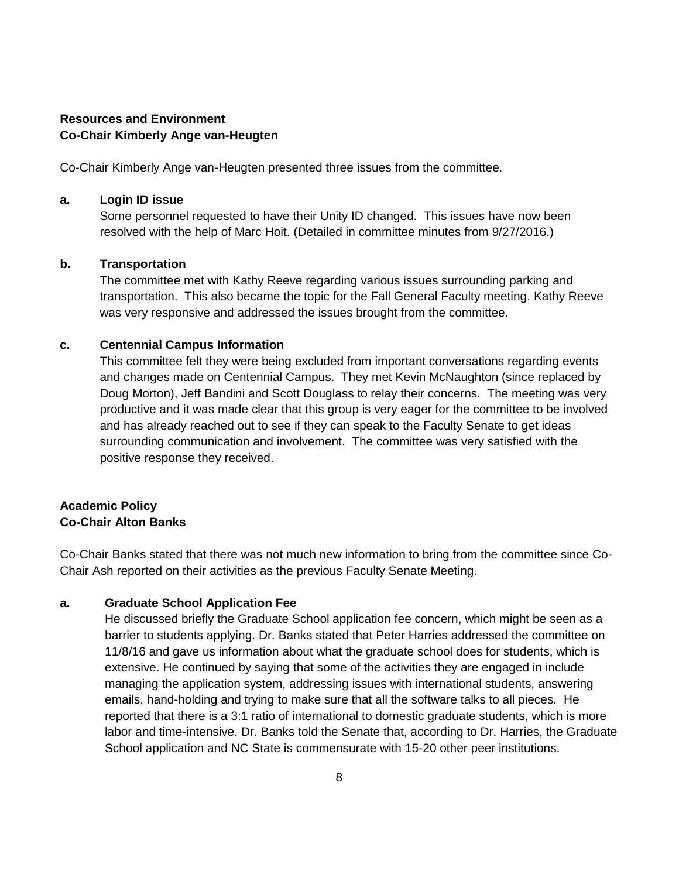# **Resources and Environment Co-Chair Kimberly Ange van-Heugten**

Co-Chair Kimberly Ange van-Heugten presented three issues from the committee.

#### **a. Login ID issue**

Some personnel requested to have their Unity ID changed. This issues have now been resolved with the help of Marc Hoit. (Detailed in committee minutes from 9/27/2016.)

#### **b. Transportation**

The committee met with Kathy Reeve regarding various issues surrounding parking and transportation. This also became the topic for the Fall General Faculty meeting. Kathy Reeve was very responsive and addressed the issues brought from the committee.

#### **c. Centennial Campus Information**

This committee felt they were being excluded from important conversations regarding events and changes made on Centennial Campus. They met Kevin McNaughton (since replaced by Doug Morton), Jeff Bandini and Scott Douglass to relay their concerns. The meeting was very productive and it was made clear that this group is very eager for the committee to be involved and has already reached out to see if they can speak to the Faculty Senate to get ideas surrounding communication and involvement. The committee was very satisfied with the positive response they received.

# **Academic Policy Co-Chair Alton Banks**

Co-Chair Banks stated that there was not much new information to bring from the committee since Co-Chair Ash reported on their activities as the previous Faculty Senate Meeting.

### **a. Graduate School Application Fee**

He discussed briefly the Graduate School application fee concern, which might be seen as a barrier to students applying. Dr. Banks stated that Peter Harries addressed the committee on 11/8/16 and gave us information about what the graduate school does for students, which is extensive. He continued by saying that some of the activities they are engaged in include managing the application system, addressing issues with international students, answering emails, hand-holding and trying to make sure that all the software talks to all pieces. He reported that there is a 3:1 ratio of international to domestic graduate students, which is more labor and time-intensive. Dr. Banks told the Senate that, according to Dr. Harries, the Graduate School application and NC State is commensurate with 15-20 other peer institutions.